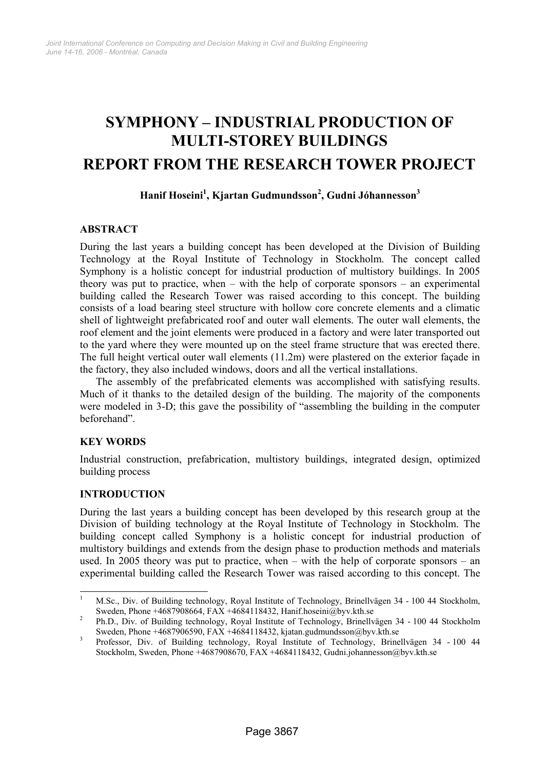# **SYMPHONY – INDUSTRIAL PRODUCTION OF MULTI-STOREY BUILDINGS REPORT FROM THE RESEARCH TOWER PROJECT**

# **Hanif Hoseini1 , Kjartan Gudmundsson<sup>2</sup> , Gudni Jóhannesson3**

# **ABSTRACT**

During the last years a building concept has been developed at the Division of Building Technology at the Royal Institute of Technology in Stockholm. The concept called Symphony is a holistic concept for industrial production of multistory buildings. In 2005 theory was put to practice, when – with the help of corporate sponsors – an experimental building called the Research Tower was raised according to this concept. The building consists of a load bearing steel structure with hollow core concrete elements and a climatic shell of lightweight prefabricated roof and outer wall elements. The outer wall elements, the roof element and the joint elements were produced in a factory and were later transported out to the yard where they were mounted up on the steel frame structure that was erected there. The full height vertical outer wall elements (11.2m) were plastered on the exterior façade in the factory, they also included windows, doors and all the vertical installations.

The assembly of the prefabricated elements was accomplished with satisfying results. Much of it thanks to the detailed design of the building. The majority of the components were modeled in 3-D; this gave the possibility of "assembling the building in the computer beforehand".

#### **KEY WORDS**

Industrial construction, prefabrication, multistory buildings, integrated design, optimized building process

# **INTRODUCTION**

During the last years a building concept has been developed by this research group at the Division of building technology at the Royal Institute of Technology in Stockholm. The building concept called Symphony is a holistic concept for industrial production of multistory buildings and extends from the design phase to production methods and materials used. In 2005 theory was put to practice, when – with the help of corporate sponsors – an experimental building called the Research Tower was raised according to this concept. The

<sup>|&</sup>lt;br>|<br>| M.Sc., Div. of Building technology, Royal Institute of Technology, Brinellvägen 34 - 100 44 Stockholm, Sweden, Phone +4687908664, FAX +4684118432, Hanif.hoseini@byv.kth.se

Ph.D., Div. of Building technology, Royal Institute of Technology, Brinellvägen 34 - 100 44 Stockholm Sweden, Phone +4687906590, FAX +4684118432, kjatan.gudmundsson@byv.kth.se

Professor, Div. of Building technology, Royal Institute of Technology, Brinellvägen 34 - 100 44 Stockholm, Sweden, Phone +4687908670, FAX +4684118432, Gudni.johannesson@byv.kth.se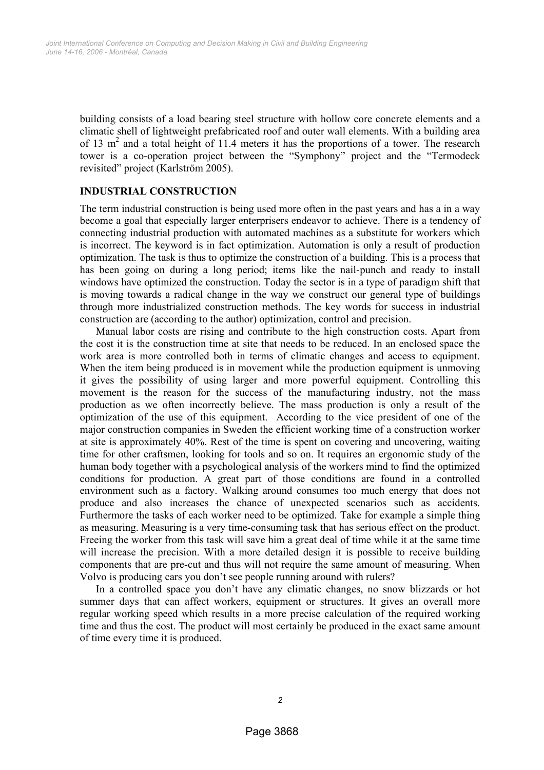building consists of a load bearing steel structure with hollow core concrete elements and a climatic shell of lightweight prefabricated roof and outer wall elements. With a building area of 13  $m<sup>2</sup>$  and a total height of 11.4 meters it has the proportions of a tower. The research tower is a co-operation project between the "Symphony" project and the "Termodeck revisited" project (Karlström 2005).

## **INDUSTRIAL CONSTRUCTION**

The term industrial construction is being used more often in the past years and has a in a way become a goal that especially larger enterprisers endeavor to achieve. There is a tendency of connecting industrial production with automated machines as a substitute for workers which is incorrect. The keyword is in fact optimization. Automation is only a result of production optimization. The task is thus to optimize the construction of a building. This is a process that has been going on during a long period; items like the nail-punch and ready to install windows have optimized the construction. Today the sector is in a type of paradigm shift that is moving towards a radical change in the way we construct our general type of buildings through more industrialized construction methods. The key words for success in industrial construction are (according to the author) optimization, control and precision.

Manual labor costs are rising and contribute to the high construction costs. Apart from the cost it is the construction time at site that needs to be reduced. In an enclosed space the work area is more controlled both in terms of climatic changes and access to equipment. When the item being produced is in movement while the production equipment is unmoving it gives the possibility of using larger and more powerful equipment. Controlling this movement is the reason for the success of the manufacturing industry, not the mass production as we often incorrectly believe. The mass production is only a result of the optimization of the use of this equipment. According to the vice president of one of the major construction companies in Sweden the efficient working time of a construction worker at site is approximately 40%. Rest of the time is spent on covering and uncovering, waiting time for other craftsmen, looking for tools and so on. It requires an ergonomic study of the human body together with a psychological analysis of the workers mind to find the optimized conditions for production. A great part of those conditions are found in a controlled environment such as a factory. Walking around consumes too much energy that does not produce and also increases the chance of unexpected scenarios such as accidents. Furthermore the tasks of each worker need to be optimized. Take for example a simple thing as measuring. Measuring is a very time-consuming task that has serious effect on the product. Freeing the worker from this task will save him a great deal of time while it at the same time will increase the precision. With a more detailed design it is possible to receive building components that are pre-cut and thus will not require the same amount of measuring. When Volvo is producing cars you don't see people running around with rulers?

In a controlled space you don't have any climatic changes, no snow blizzards or hot summer days that can affect workers, equipment or structures. It gives an overall more regular working speed which results in a more precise calculation of the required working time and thus the cost. The product will most certainly be produced in the exact same amount of time every time it is produced.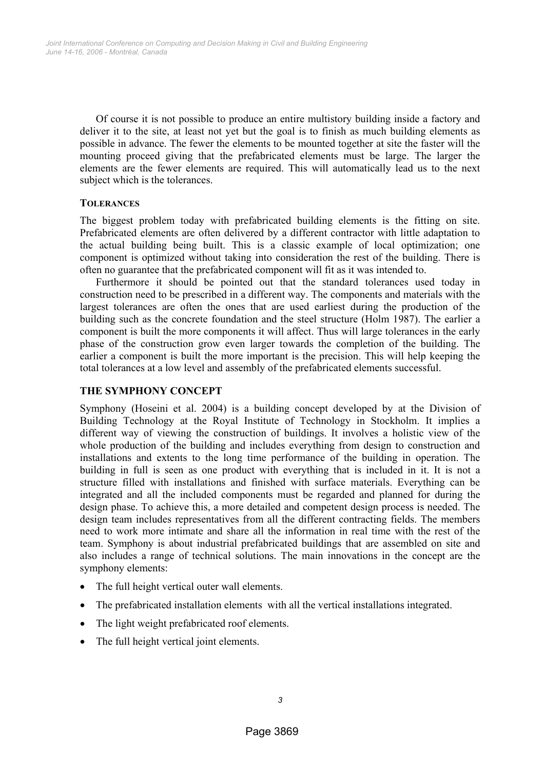Of course it is not possible to produce an entire multistory building inside a factory and deliver it to the site, at least not yet but the goal is to finish as much building elements as possible in advance. The fewer the elements to be mounted together at site the faster will the mounting proceed giving that the prefabricated elements must be large. The larger the elements are the fewer elements are required. This will automatically lead us to the next subject which is the tolerances.

## **TOLERANCES**

The biggest problem today with prefabricated building elements is the fitting on site. Prefabricated elements are often delivered by a different contractor with little adaptation to the actual building being built. This is a classic example of local optimization; one component is optimized without taking into consideration the rest of the building. There is often no guarantee that the prefabricated component will fit as it was intended to.

Furthermore it should be pointed out that the standard tolerances used today in construction need to be prescribed in a different way. The components and materials with the largest tolerances are often the ones that are used earliest during the production of the building such as the concrete foundation and the steel structure (Holm 1987). The earlier a component is built the more components it will affect. Thus will large tolerances in the early phase of the construction grow even larger towards the completion of the building. The earlier a component is built the more important is the precision. This will help keeping the total tolerances at a low level and assembly of the prefabricated elements successful.

# **THE SYMPHONY CONCEPT**

Symphony (Hoseini et al. 2004) is a building concept developed by at the Division of Building Technology at the Royal Institute of Technology in Stockholm. It implies a different way of viewing the construction of buildings. It involves a holistic view of the whole production of the building and includes everything from design to construction and installations and extents to the long time performance of the building in operation. The building in full is seen as one product with everything that is included in it. It is not a structure filled with installations and finished with surface materials. Everything can be integrated and all the included components must be regarded and planned for during the design phase. To achieve this, a more detailed and competent design process is needed. The design team includes representatives from all the different contracting fields. The members need to work more intimate and share all the information in real time with the rest of the team. Symphony is about industrial prefabricated buildings that are assembled on site and also includes a range of technical solutions. The main innovations in the concept are the symphony elements:

- The full height vertical outer wall elements.
- The prefabricated installation elements with all the vertical installations integrated.
- The light weight prefabricated roof elements.
- The full height vertical joint elements.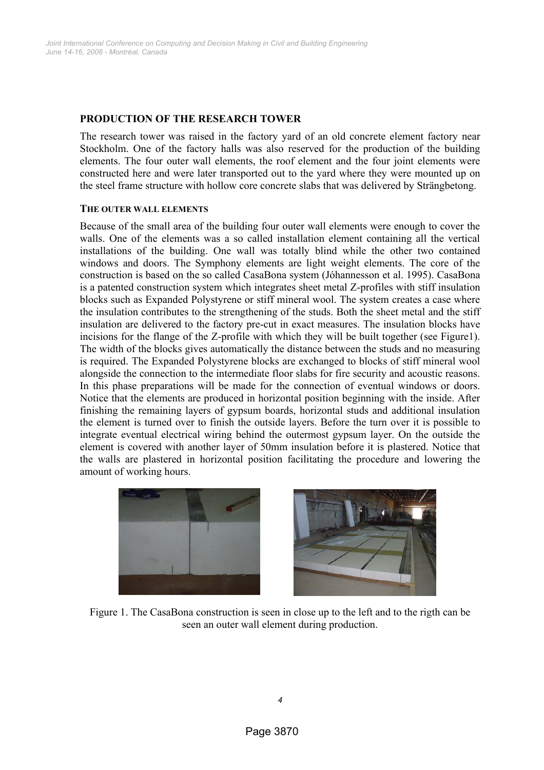## **PRODUCTION OF THE RESEARCH TOWER**

The research tower was raised in the factory yard of an old concrete element factory near Stockholm. One of the factory halls was also reserved for the production of the building elements. The four outer wall elements, the roof element and the four joint elements were constructed here and were later transported out to the yard where they were mounted up on the steel frame structure with hollow core concrete slabs that was delivered by Strängbetong.

#### **THE OUTER WALL ELEMENTS**

Because of the small area of the building four outer wall elements were enough to cover the walls. One of the elements was a so called installation element containing all the vertical installations of the building. One wall was totally blind while the other two contained windows and doors. The Symphony elements are light weight elements. The core of the construction is based on the so called CasaBona system (Jóhannesson et al. 1995). CasaBona is a patented construction system which integrates sheet metal Z-profiles with stiff insulation blocks such as Expanded Polystyrene or stiff mineral wool. The system creates a case where the insulation contributes to the strengthening of the studs. Both the sheet metal and the stiff insulation are delivered to the factory pre-cut in exact measures. The insulation blocks have incisions for the flange of the Z-profile with which they will be built together (see Figure1). The width of the blocks gives automatically the distance between the studs and no measuring is required. The Expanded Polystyrene blocks are exchanged to blocks of stiff mineral wool alongside the connection to the intermediate floor slabs for fire security and acoustic reasons. In this phase preparations will be made for the connection of eventual windows or doors. Notice that the elements are produced in horizontal position beginning with the inside. After finishing the remaining layers of gypsum boards, horizontal studs and additional insulation the element is turned over to finish the outside layers. Before the turn over it is possible to integrate eventual electrical wiring behind the outermost gypsum layer. On the outside the element is covered with another layer of 50mm insulation before it is plastered. Notice that the walls are plastered in horizontal position facilitating the procedure and lowering the amount of working hours.





Figure 1. The CasaBona construction is seen in close up to the left and to the rigth can be seen an outer wall element during production.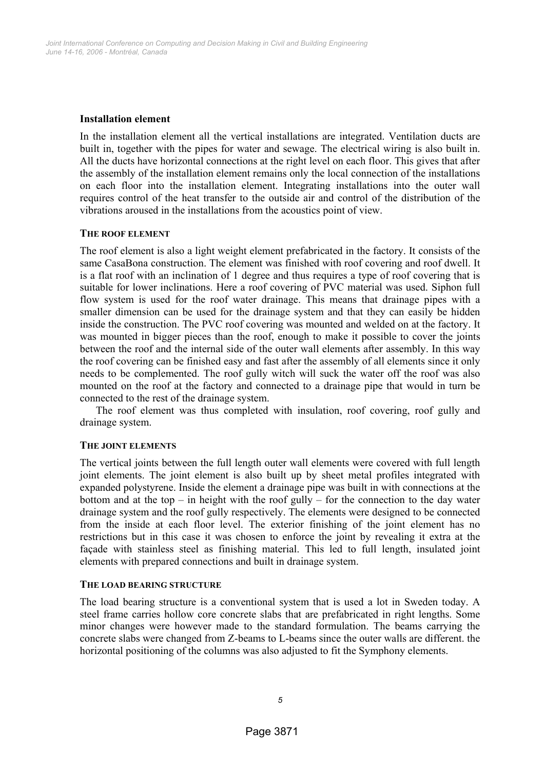## **Installation element**

In the installation element all the vertical installations are integrated. Ventilation ducts are built in, together with the pipes for water and sewage. The electrical wiring is also built in. All the ducts have horizontal connections at the right level on each floor. This gives that after the assembly of the installation element remains only the local connection of the installations on each floor into the installation element. Integrating installations into the outer wall requires control of the heat transfer to the outside air and control of the distribution of the vibrations aroused in the installations from the acoustics point of view.

## **THE ROOF ELEMENT**

The roof element is also a light weight element prefabricated in the factory. It consists of the same CasaBona construction. The element was finished with roof covering and roof dwell. It is a flat roof with an inclination of 1 degree and thus requires a type of roof covering that is suitable for lower inclinations. Here a roof covering of PVC material was used. Siphon full flow system is used for the roof water drainage. This means that drainage pipes with a smaller dimension can be used for the drainage system and that they can easily be hidden inside the construction. The PVC roof covering was mounted and welded on at the factory. It was mounted in bigger pieces than the roof, enough to make it possible to cover the joints between the roof and the internal side of the outer wall elements after assembly. In this way the roof covering can be finished easy and fast after the assembly of all elements since it only needs to be complemented. The roof gully witch will suck the water off the roof was also mounted on the roof at the factory and connected to a drainage pipe that would in turn be connected to the rest of the drainage system.

The roof element was thus completed with insulation, roof covering, roof gully and drainage system.

# **THE JOINT ELEMENTS**

The vertical joints between the full length outer wall elements were covered with full length joint elements. The joint element is also built up by sheet metal profiles integrated with expanded polystyrene. Inside the element a drainage pipe was built in with connections at the bottom and at the top – in height with the roof gully – for the connection to the day water drainage system and the roof gully respectively. The elements were designed to be connected from the inside at each floor level. The exterior finishing of the joint element has no restrictions but in this case it was chosen to enforce the joint by revealing it extra at the façade with stainless steel as finishing material. This led to full length, insulated joint elements with prepared connections and built in drainage system.

#### **THE LOAD BEARING STRUCTURE**

The load bearing structure is a conventional system that is used a lot in Sweden today. A steel frame carries hollow core concrete slabs that are prefabricated in right lengths. Some minor changes were however made to the standard formulation. The beams carrying the concrete slabs were changed from Z-beams to L-beams since the outer walls are different. the horizontal positioning of the columns was also adjusted to fit the Symphony elements.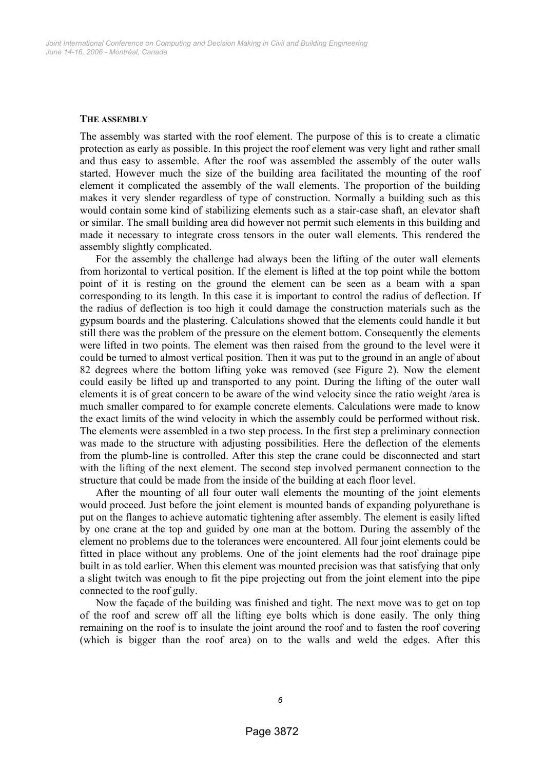#### **THE ASSEMBLY**

The assembly was started with the roof element. The purpose of this is to create a climatic protection as early as possible. In this project the roof element was very light and rather small and thus easy to assemble. After the roof was assembled the assembly of the outer walls started. However much the size of the building area facilitated the mounting of the roof element it complicated the assembly of the wall elements. The proportion of the building makes it very slender regardless of type of construction. Normally a building such as this would contain some kind of stabilizing elements such as a stair-case shaft, an elevator shaft or similar. The small building area did however not permit such elements in this building and made it necessary to integrate cross tensors in the outer wall elements. This rendered the assembly slightly complicated.

For the assembly the challenge had always been the lifting of the outer wall elements from horizontal to vertical position. If the element is lifted at the top point while the bottom point of it is resting on the ground the element can be seen as a beam with a span corresponding to its length. In this case it is important to control the radius of deflection. If the radius of deflection is too high it could damage the construction materials such as the gypsum boards and the plastering. Calculations showed that the elements could handle it but still there was the problem of the pressure on the element bottom. Consequently the elements were lifted in two points. The element was then raised from the ground to the level were it could be turned to almost vertical position. Then it was put to the ground in an angle of about 82 degrees where the bottom lifting yoke was removed (see Figure 2). Now the element could easily be lifted up and transported to any point. During the lifting of the outer wall elements it is of great concern to be aware of the wind velocity since the ratio weight /area is much smaller compared to for example concrete elements. Calculations were made to know the exact limits of the wind velocity in which the assembly could be performed without risk. The elements were assembled in a two step process. In the first step a preliminary connection was made to the structure with adjusting possibilities. Here the deflection of the elements from the plumb-line is controlled. After this step the crane could be disconnected and start with the lifting of the next element. The second step involved permanent connection to the structure that could be made from the inside of the building at each floor level.

After the mounting of all four outer wall elements the mounting of the joint elements would proceed. Just before the joint element is mounted bands of expanding polyurethane is put on the flanges to achieve automatic tightening after assembly. The element is easily lifted by one crane at the top and guided by one man at the bottom. During the assembly of the element no problems due to the tolerances were encountered. All four joint elements could be fitted in place without any problems. One of the joint elements had the roof drainage pipe built in as told earlier. When this element was mounted precision was that satisfying that only a slight twitch was enough to fit the pipe projecting out from the joint element into the pipe connected to the roof gully.

Now the façade of the building was finished and tight. The next move was to get on top of the roof and screw off all the lifting eye bolts which is done easily. The only thing remaining on the roof is to insulate the joint around the roof and to fasten the roof covering (which is bigger than the roof area) on to the walls and weld the edges. After this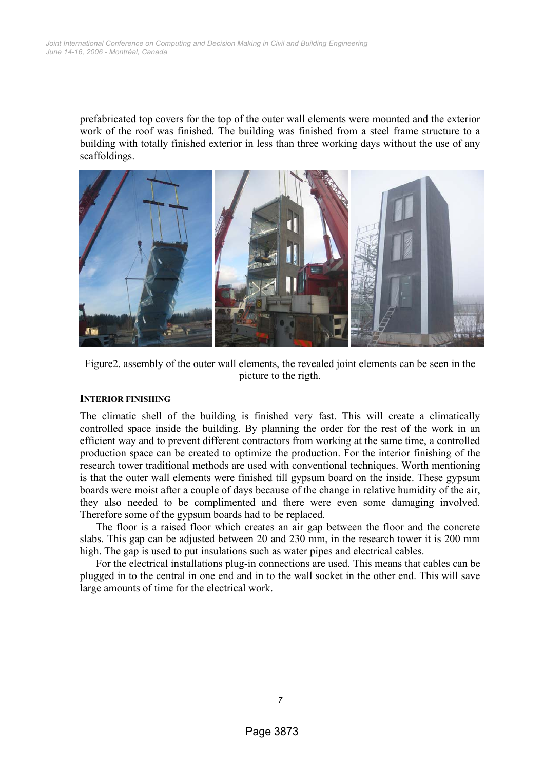prefabricated top covers for the top of the outer wall elements were mounted and the exterior work of the roof was finished. The building was finished from a steel frame structure to a building with totally finished exterior in less than three working days without the use of any scaffoldings.



Figure2. assembly of the outer wall elements, the revealed joint elements can be seen in the picture to the rigth.

### **INTERIOR FINISHING**

The climatic shell of the building is finished very fast. This will create a climatically controlled space inside the building. By planning the order for the rest of the work in an efficient way and to prevent different contractors from working at the same time, a controlled production space can be created to optimize the production. For the interior finishing of the research tower traditional methods are used with conventional techniques. Worth mentioning is that the outer wall elements were finished till gypsum board on the inside. These gypsum boards were moist after a couple of days because of the change in relative humidity of the air, they also needed to be complimented and there were even some damaging involved. Therefore some of the gypsum boards had to be replaced.

The floor is a raised floor which creates an air gap between the floor and the concrete slabs. This gap can be adjusted between 20 and 230 mm, in the research tower it is 200 mm high. The gap is used to put insulations such as water pipes and electrical cables.

For the electrical installations plug-in connections are used. This means that cables can be plugged in to the central in one end and in to the wall socket in the other end. This will save large amounts of time for the electrical work.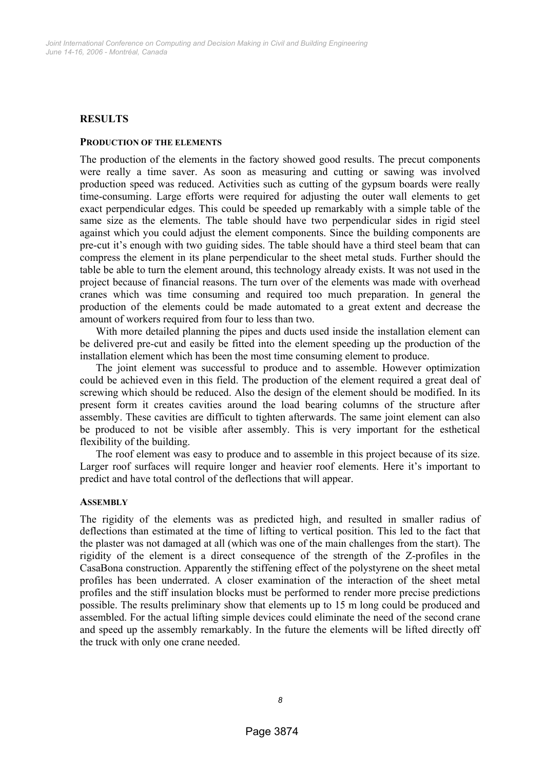# **RESULTS**

#### **PRODUCTION OF THE ELEMENTS**

The production of the elements in the factory showed good results. The precut components were really a time saver. As soon as measuring and cutting or sawing was involved production speed was reduced. Activities such as cutting of the gypsum boards were really time-consuming. Large efforts were required for adjusting the outer wall elements to get exact perpendicular edges. This could be speeded up remarkably with a simple table of the same size as the elements. The table should have two perpendicular sides in rigid steel against which you could adjust the element components. Since the building components are pre-cut it's enough with two guiding sides. The table should have a third steel beam that can compress the element in its plane perpendicular to the sheet metal studs. Further should the table be able to turn the element around, this technology already exists. It was not used in the project because of financial reasons. The turn over of the elements was made with overhead cranes which was time consuming and required too much preparation. In general the production of the elements could be made automated to a great extent and decrease the amount of workers required from four to less than two.

With more detailed planning the pipes and ducts used inside the installation element can be delivered pre-cut and easily be fitted into the element speeding up the production of the installation element which has been the most time consuming element to produce.

The joint element was successful to produce and to assemble. However optimization could be achieved even in this field. The production of the element required a great deal of screwing which should be reduced. Also the design of the element should be modified. In its present form it creates cavities around the load bearing columns of the structure after assembly. These cavities are difficult to tighten afterwards. The same joint element can also be produced to not be visible after assembly. This is very important for the esthetical flexibility of the building.

The roof element was easy to produce and to assemble in this project because of its size. Larger roof surfaces will require longer and heavier roof elements. Here it's important to predict and have total control of the deflections that will appear.

#### **ASSEMBLY**

The rigidity of the elements was as predicted high, and resulted in smaller radius of deflections than estimated at the time of lifting to vertical position. This led to the fact that the plaster was not damaged at all (which was one of the main challenges from the start). The rigidity of the element is a direct consequence of the strength of the Z-profiles in the CasaBona construction. Apparently the stiffening effect of the polystyrene on the sheet metal profiles has been underrated. A closer examination of the interaction of the sheet metal profiles and the stiff insulation blocks must be performed to render more precise predictions possible. The results preliminary show that elements up to 15 m long could be produced and assembled. For the actual lifting simple devices could eliminate the need of the second crane and speed up the assembly remarkably. In the future the elements will be lifted directly off the truck with only one crane needed.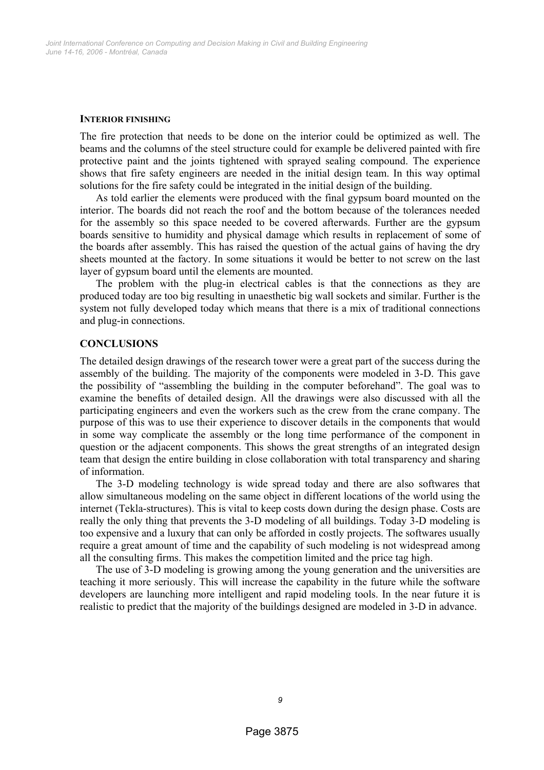#### **INTERIOR FINISHING**

The fire protection that needs to be done on the interior could be optimized as well. The beams and the columns of the steel structure could for example be delivered painted with fire protective paint and the joints tightened with sprayed sealing compound. The experience shows that fire safety engineers are needed in the initial design team. In this way optimal solutions for the fire safety could be integrated in the initial design of the building.

As told earlier the elements were produced with the final gypsum board mounted on the interior. The boards did not reach the roof and the bottom because of the tolerances needed for the assembly so this space needed to be covered afterwards. Further are the gypsum boards sensitive to humidity and physical damage which results in replacement of some of the boards after assembly. This has raised the question of the actual gains of having the dry sheets mounted at the factory. In some situations it would be better to not screw on the last layer of gypsum board until the elements are mounted.

The problem with the plug-in electrical cables is that the connections as they are produced today are too big resulting in unaesthetic big wall sockets and similar. Further is the system not fully developed today which means that there is a mix of traditional connections and plug-in connections.

#### **CONCLUSIONS**

The detailed design drawings of the research tower were a great part of the success during the assembly of the building. The majority of the components were modeled in 3-D. This gave the possibility of "assembling the building in the computer beforehand". The goal was to examine the benefits of detailed design. All the drawings were also discussed with all the participating engineers and even the workers such as the crew from the crane company. The purpose of this was to use their experience to discover details in the components that would in some way complicate the assembly or the long time performance of the component in question or the adjacent components. This shows the great strengths of an integrated design team that design the entire building in close collaboration with total transparency and sharing of information.

The 3-D modeling technology is wide spread today and there are also softwares that allow simultaneous modeling on the same object in different locations of the world using the internet (Tekla-structures). This is vital to keep costs down during the design phase. Costs are really the only thing that prevents the 3-D modeling of all buildings. Today 3-D modeling is too expensive and a luxury that can only be afforded in costly projects. The softwares usually require a great amount of time and the capability of such modeling is not widespread among all the consulting firms. This makes the competition limited and the price tag high.

The use of 3-D modeling is growing among the young generation and the universities are teaching it more seriously. This will increase the capability in the future while the software developers are launching more intelligent and rapid modeling tools. In the near future it is realistic to predict that the majority of the buildings designed are modeled in 3-D in advance.